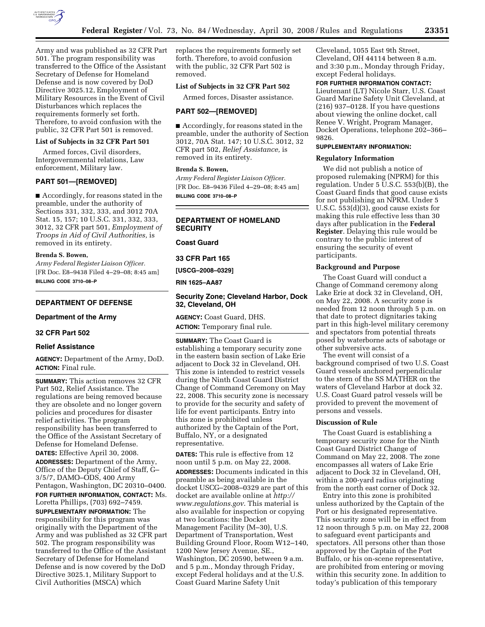

Army and was published as 32 CFR Part 501. The program responsibility was transferred to the Office of the Assistant Secretary of Defense for Homeland Defense and is now covered by DoD Directive 3025.12, Employment of Military Resources in the Event of Civil Disturbances which replaces the requirements formerly set forth. Therefore, to avoid confusion with the public, 32 CFR Part 501 is removed.

#### **List of Subjects in 32 CFR Part 501**

Armed forces, Civil disorders, Intergovernmental relations, Law enforcement, Military law.

# **PART 501—[REMOVED]**

■ Accordingly, for reasons stated in the preamble, under the authority of Sections 331, 332, 333, and 3012 70A Stat. 15, 157; 10 U.S.C. 331, 332, 333, 3012, 32 CFR part 501, *Employment of Troops in Aid of Civil Authorities,* is removed in its entirety.

### **Brenda S. Bowen,**

*Army Federal Register Liaison Officer.*  [FR Doc. E8–9438 Filed 4–29–08; 8:45 am] **BILLING CODE 3710–08–P** 

## **DEPARTMENT OF DEFENSE**

## **Department of the Army**

# **32 CFR Part 502**

# **Relief Assistance**

**AGENCY:** Department of the Army, DoD. **ACTION:** Final rule.

**SUMMARY:** This action removes 32 CFR Part 502, Relief Assistance. The regulations are being removed because they are obsolete and no longer govern policies and procedures for disaster relief activities. The program responsibility has been transferred to the Office of the Assistant Secretary of Defense for Homeland Defense. **DATES:** Effective April 30, 2008.

**ADDRESSES:** Department of the Army, Office of the Deputy Chief of Staff, G– 3/5/7, DAMO–ODS, 400 Army Pentagon, Washington, DC 20310–0400. **FOR FURTHER INFORMATION, CONTACT:** Ms.

Loretta Phillips, (703) 692–7459. **SUPPLEMENTARY INFORMATION:** The responsibility for this program was originally with the Department of the Army and was published as 32 CFR part 502. The program responsibility was transferred to the Office of the Assistant Secretary of Defense for Homeland Defense and is now covered by the DoD Directive 3025.1, Military Support to Civil Authorities (MSCA) which

replaces the requirements formerly set forth. Therefore, to avoid confusion with the public, 32 CFR Part 502 is removed.

# **List of Subjects in 32 CFR Part 502**

Armed forces, Disaster assistance.

#### **PART 502—[REMOVED]**

■ Accordingly, for reasons stated in the preamble, under the authority of Section 3012, 70A Stat. 147; 10 U.S.C. 3012, 32 CFR part 502, *Relief Assistance,* is removed in its entirety.

# **Brenda S. Bowen,**

*Army Federal Register Liaison Officer.*  [FR Doc. E8–9436 Filed 4–29–08; 8:45 am] **BILLING CODE 3710–08–P** 

# **DEPARTMENT OF HOMELAND SECURITY**

**Coast Guard** 

**33 CFR Part 165** 

**[USCG–2008–0329]** 

**RIN 1625–AA87** 

## **Security Zone; Cleveland Harbor, Dock 32, Cleveland, OH**

**AGENCY:** Coast Guard, DHS. **ACTION:** Temporary final rule.

**SUMMARY:** The Coast Guard is establishing a temporary security zone in the eastern basin section of Lake Erie adjacent to Dock 32 in Cleveland, OH. This zone is intended to restrict vessels during the Ninth Coast Guard District Change of Command Ceremony on May 22, 2008. This security zone is necessary to provide for the security and safety of life for event participants. Entry into this zone is prohibited unless authorized by the Captain of the Port, Buffalo, NY, or a designated representative.

**DATES:** This rule is effective from 12 noon until 5 p.m. on May 22, 2008. **ADDRESSES:** Documents indicated in this preamble as being available in the docket USCG–2008–0329 are part of this docket are available online at *http:// www.regulations.gov*. This material is also available for inspection or copying at two locations: the Docket Management Facility (M–30), U.S. Department of Transportation, West Building Ground Floor, Room W12–140, 1200 New Jersey Avenue, SE., Washington, DC 20590, between 9 a.m. and 5 p.m., Monday through Friday, except Federal holidays and at the U.S. Coast Guard Marine Safety Unit

Cleveland, 1055 East 9th Street, Cleveland, OH 44114 between 8 a.m. and 3:30 p.m., Monday through Friday, except Federal holidays.

**FOR FURTHER INFORMATION CONTACT:**  Lieutenant (LT) Nicole Starr, U.S. Coast Guard Marine Safety Unit Cleveland, at (216) 937–0128. If you have questions about viewing the online docket, call Renee V. Wright, Program Manager, Docket Operations, telephone 202–366– 9826.

# **SUPPLEMENTARY INFORMATION:**

#### **Regulatory Information**

We did not publish a notice of proposed rulemaking (NPRM) for this regulation. Under 5 U.S.C. 553(b)(B), the Coast Guard finds that good cause exists for not publishing an NPRM. Under 5 U.S.C. 553(d)(3), good cause exists for making this rule effective less than 30 days after publication in the **Federal Register**. Delaying this rule would be contrary to the public interest of ensuring the security of event participants.

#### **Background and Purpose**

The Coast Guard will conduct a Change of Command ceremony along Lake Erie at dock 32 in Cleveland, OH, on May 22, 2008. A security zone is needed from 12 noon through 5 p.m. on that date to protect dignitaries taking part in this high-level military ceremony and spectators from potential threats posed by waterborne acts of sabotage or other subversive acts.

The event will consist of a background comprised of two U.S. Coast Guard vessels anchored perpendicular to the stern of the SS MATHER on the waters of Cleveland Harbor at dock 32. U.S. Coast Guard patrol vessels will be provided to prevent the movement of persons and vessels.

#### **Discussion of Rule**

The Coast Guard is establishing a temporary security zone for the Ninth Coast Guard District Change of Command on May 22, 2008. The zone encompasses all waters of Lake Erie adjacent to Dock 32 in Cleveland, OH, within a 200-yard radius originating from the north east corner of Dock 32.

Entry into this zone is prohibited unless authorized by the Captain of the Port or his designated representative. This security zone will be in effect from 12 noon through 5 p.m. on May 22, 2008 to safeguard event participants and spectators. All persons other than those approved by the Captain of the Port Buffalo, or his on-scene representative, are prohibited from entering or moving within this security zone. In addition to today's publication of this temporary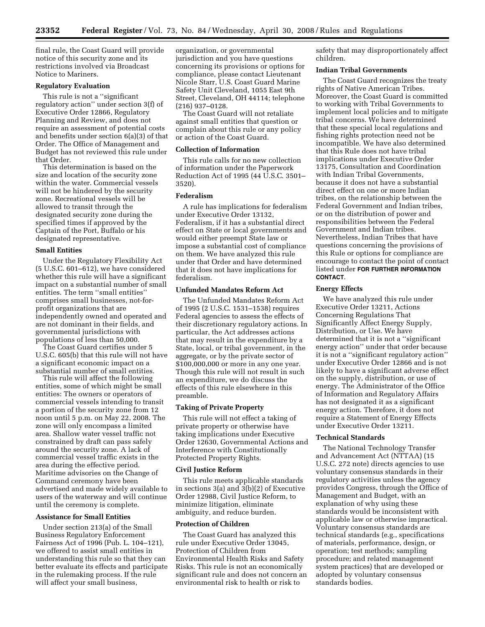final rule, the Coast Guard will provide notice of this security zone and its restrictions involved via Broadcast Notice to Mariners.

#### **Regulatory Evaluation**

This rule is not a ''significant regulatory action'' under section 3(f) of Executive Order 12866, Regulatory Planning and Review, and does not require an assessment of potential costs and benefits under section 6(a)(3) of that Order. The Office of Management and Budget has not reviewed this rule under that Order.

This determination is based on the size and location of the security zone within the water. Commercial vessels will not be hindered by the security zone. Recreational vessels will be allowed to transit through the designated security zone during the specified times if approved by the Captain of the Port, Buffalo or his designated representative.

### **Small Entities**

Under the Regulatory Flexibility Act (5 U.S.C. 601–612), we have considered whether this rule will have a significant impact on a substantial number of small entities. The term ''small entities'' comprises small businesses, not-forprofit organizations that are independently owned and operated and are not dominant in their fields, and governmental jurisdictions with populations of less than 50,000.

The Coast Guard certifies under 5 U.S.C. 605(b) that this rule will not have a significant economic impact on a substantial number of small entities.

This rule will affect the following entities, some of which might be small entities: The owners or operators of commercial vessels intending to transit a portion of the security zone from 12 noon until 5 p.m. on May 22, 2008. The zone will only encompass a limited area. Shallow water vessel traffic not constrained by draft can pass safely around the security zone. A lack of commercial vessel traffic exists in the area during the effective period. Maritime advisories on the Change of Command ceremony have been advertised and made widely available to users of the waterway and will continue until the ceremony is complete.

## **Assistance for Small Entities**

Under section 213(a) of the Small Business Regulatory Enforcement Fairness Act of 1996 (Pub. L. 104–121), we offered to assist small entities in understanding this rule so that they can better evaluate its effects and participate in the rulemaking process. If the rule will affect your small business,

organization, or governmental jurisdiction and you have questions concerning its provisions or options for compliance, please contact Lieutenant Nicole Starr, U.S. Coast Guard Marine Safety Unit Cleveland, 1055 East 9th Street, Cleveland, OH 44114; telephone (216) 937–0128.

The Coast Guard will not retaliate against small entities that question or complain about this rule or any policy or action of the Coast Guard.

#### **Collection of Information**

This rule calls for no new collection of information under the Paperwork Reduction Act of 1995 (44 U.S.C. 3501– 3520).

## **Federalism**

A rule has implications for federalism under Executive Order 13132, Federalism, if it has a substantial direct effect on State or local governments and would either preempt State law or impose a substantial cost of compliance on them. We have analyzed this rule under that Order and have determined that it does not have implications for federalism.

#### **Unfunded Mandates Reform Act**

The Unfunded Mandates Reform Act of 1995 (2 U.S.C. 1531–1538) requires Federal agencies to assess the effects of their discretionary regulatory actions. In particular, the Act addresses actions that may result in the expenditure by a State, local, or tribal government, in the aggregate, or by the private sector of \$100,000,000 or more in any one year. Though this rule will not result in such an expenditure, we do discuss the effects of this rule elsewhere in this preamble.

#### **Taking of Private Property**

This rule will not effect a taking of private property or otherwise have taking implications under Executive Order 12630, Governmental Actions and Interference with Constitutionally Protected Property Rights.

#### **Civil Justice Reform**

This rule meets applicable standards in sections 3(a) and 3(b)(2) of Executive Order 12988, Civil Justice Reform, to minimize litigation, eliminate ambiguity, and reduce burden.

#### **Protection of Children**

The Coast Guard has analyzed this rule under Executive Order 13045, Protection of Children from Environmental Health Risks and Safety Risks. This rule is not an economically significant rule and does not concern an environmental risk to health or risk to

safety that may disproportionately affect children.

## **Indian Tribal Governments**

The Coast Guard recognizes the treaty rights of Native American Tribes. Moreover, the Coast Guard is committed to working with Tribal Governments to implement local policies and to mitigate tribal concerns. We have determined that these special local regulations and fishing rights protection need not be incompatible. We have also determined that this Rule does not have tribal implications under Executive Order 13175, Consultation and Coordination with Indian Tribal Governments, because it does not have a substantial direct effect on one or more Indian tribes, on the relationship between the Federal Government and Indian tribes, or on the distribution of power and responsibilities between the Federal Government and Indian tribes. Nevertheless, Indian Tribes that have questions concerning the provisions of this Rule or options for compliance are encourage to contact the point of contact listed under **FOR FURTHER INFORMATION CONTACT**.

## **Energy Effects**

We have analyzed this rule under Executive Order 13211, Actions Concerning Regulations That Significantly Affect Energy Supply, Distribution, or Use. We have determined that it is not a ''significant energy action'' under that order because it is not a ''significant regulatory action'' under Executive Order 12866 and is not likely to have a significant adverse effect on the supply, distribution, or use of energy. The Administrator of the Office of Information and Regulatory Affairs has not designated it as a significant energy action. Therefore, it does not require a Statement of Energy Effects under Executive Order 13211.

#### **Technical Standards**

The National Technology Transfer and Advancement Act (NTTAA) (15 U.S.C. 272 note) directs agencies to use voluntary consensus standards in their regulatory activities unless the agency provides Congress, through the Office of Management and Budget, with an explanation of why using these standards would be inconsistent with applicable law or otherwise impractical. Voluntary consensus standards are technical standards (e.g., specifications of materials, performance, design, or operation; test methods; sampling procedure; and related management system practices) that are developed or adopted by voluntary consensus standards bodies.